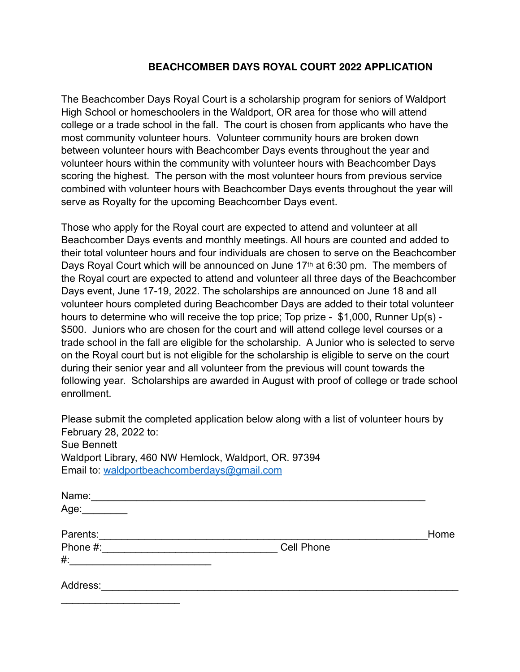## **BEACHCOMBER DAYS ROYAL COURT 2022 APPLICATION**

The Beachcomber Days Royal Court is a scholarship program for seniors of Waldport High School or homeschoolers in the Waldport, OR area for those who will attend college or a trade school in the fall. The court is chosen from applicants who have the most community volunteer hours. Volunteer community hours are broken down between volunteer hours with Beachcomber Days events throughout the year and volunteer hours within the community with volunteer hours with Beachcomber Days scoring the highest. The person with the most volunteer hours from previous service combined with volunteer hours with Beachcomber Days events throughout the year will serve as Royalty for the upcoming Beachcomber Days event.

Those who apply for the Royal court are expected to attend and volunteer at all Beachcomber Days events and monthly meetings. All hours are counted and added to their total volunteer hours and four individuals are chosen to serve on the Beachcomber Days Royal Court which will be announced on June 17th at 6:30 pm. The members of the Royal court are expected to attend and volunteer all three days of the Beachcomber Days event, June 17-19, 2022. The scholarships are announced on June 18 and all volunteer hours completed during Beachcomber Days are added to their total volunteer hours to determine who will receive the top price; Top prize - \$1,000, Runner Up(s) - \$500. Juniors who are chosen for the court and will attend college level courses or a trade school in the fall are eligible for the scholarship. A Junior who is selected to serve on the Royal court but is not eligible for the scholarship is eligible to serve on the court during their senior year and all volunteer from the previous will count towards the following year. Scholarships are awarded in August with proof of college or trade school enrollment.

Please submit the completed application below along with a list of volunteer hours by February 28, 2022 to: Sue Bennett Waldport Library, 460 NW Hemlock, Waldport, OR. 97394 Email to: [waldportbeachcomberdays@gmail.com](mailto:waldportbeachcomberdays@gmail.com)

| Name:    |                   |      |
|----------|-------------------|------|
| Age:     |                   |      |
| Parents: |                   | Home |
| Phone #: | <b>Cell Phone</b> |      |
| $#$ :    |                   |      |
| Address: |                   |      |
|          |                   |      |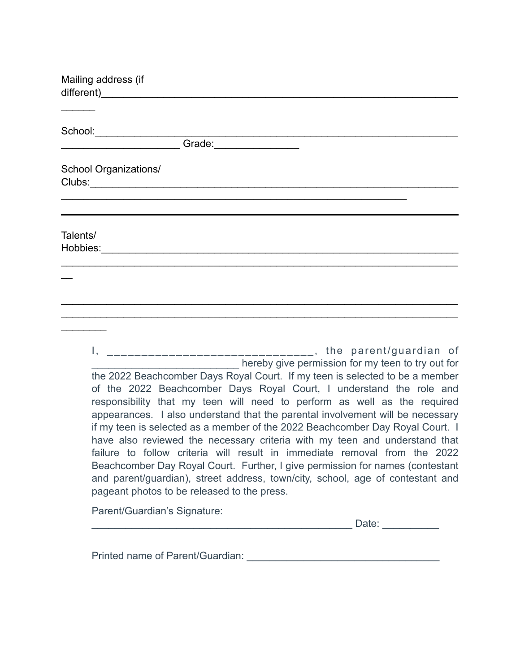Mailing address (if different)\_\_\_\_\_\_\_\_\_\_\_\_\_\_\_\_\_\_\_\_\_\_\_\_\_\_\_\_\_\_\_\_\_\_\_\_\_\_\_\_\_\_\_\_\_\_\_\_\_\_\_\_\_\_\_\_\_\_\_\_\_\_\_  $\frac{1}{2}$ School:\_\_\_\_\_\_\_\_\_\_\_\_\_\_\_\_\_\_\_\_\_\_\_\_\_\_\_\_\_\_\_\_\_\_\_\_\_\_\_\_\_\_\_\_\_\_\_\_\_\_\_\_\_\_\_\_\_\_\_\_\_\_\_\_ \_\_\_\_\_\_\_\_\_\_\_\_\_\_\_\_\_\_\_\_\_ Grade:\_\_\_\_\_\_\_\_\_\_\_\_\_\_\_ School Organizations/ Clubs:\_\_\_\_\_\_\_\_\_\_\_\_\_\_\_\_\_\_\_\_\_\_\_\_\_\_\_\_\_\_\_\_\_\_\_\_\_\_\_\_\_\_\_\_\_\_\_\_\_\_\_\_\_\_\_\_\_\_\_\_\_\_\_\_\_  $\mathcal{L}_\text{max} = \mathcal{L}_\text{max} = \mathcal{L}_\text{max} = \mathcal{L}_\text{max} = \mathcal{L}_\text{max} = \mathcal{L}_\text{max} = \mathcal{L}_\text{max} = \mathcal{L}_\text{max} = \mathcal{L}_\text{max} = \mathcal{L}_\text{max} = \mathcal{L}_\text{max} = \mathcal{L}_\text{max} = \mathcal{L}_\text{max} = \mathcal{L}_\text{max} = \mathcal{L}_\text{max} = \mathcal{L}_\text{max} = \mathcal{L}_\text{max} = \mathcal{L}_\text{max} = \mathcal{$ Talents/ Hobbies:\_\_\_\_\_\_\_\_\_\_\_\_\_\_\_\_\_\_\_\_\_\_\_\_\_\_\_\_\_\_\_\_\_\_\_\_\_\_\_\_\_\_\_\_\_\_\_\_\_\_\_\_\_\_\_\_\_\_\_\_\_\_\_  $\mathcal{L}_\text{max}$  , and the contract of the contract of the contract of the contract of the contract of the contract of  $\overline{\phantom{a}}$  $\mathcal{L}_\text{max}$  , and the contract of the contract of the contract of the contract of the contract of the contract of  $\frac{1}{2}$ I, \_\_\_\_\_\_\_\_\_\_\_\_\_\_\_\_\_\_\_\_\_\_\_\_\_\_\_\_\_\_\_\_, the parent/guardian of

hereby give permission for my teen to try out for the 2022 Beachcomber Days Royal Court. If my teen is selected to be a member of the 2022 Beachcomber Days Royal Court, I understand the role and responsibility that my teen will need to perform as well as the required appearances. I also understand that the parental involvement will be necessary if my teen is selected as a member of the 2022 Beachcomber Day Royal Court. I have also reviewed the necessary criteria with my teen and understand that failure to follow criteria will result in immediate removal from the 2022 Beachcomber Day Royal Court. Further, I give permission for names (contestant and parent/guardian), street address, town/city, school, age of contestant and pageant photos to be released to the press.

Parent/Guardian's Signature:

\_\_\_\_\_\_\_\_\_\_\_\_\_\_\_\_\_\_\_\_\_\_\_\_\_\_\_\_\_\_\_\_\_\_\_\_\_\_\_\_\_\_\_\_\_\_ Date: \_\_\_\_\_\_\_\_\_\_

Printed name of Parent/Guardian: \_\_\_\_\_\_\_\_\_\_\_\_\_\_\_\_\_\_\_\_\_\_\_\_\_\_\_\_\_\_\_\_\_\_